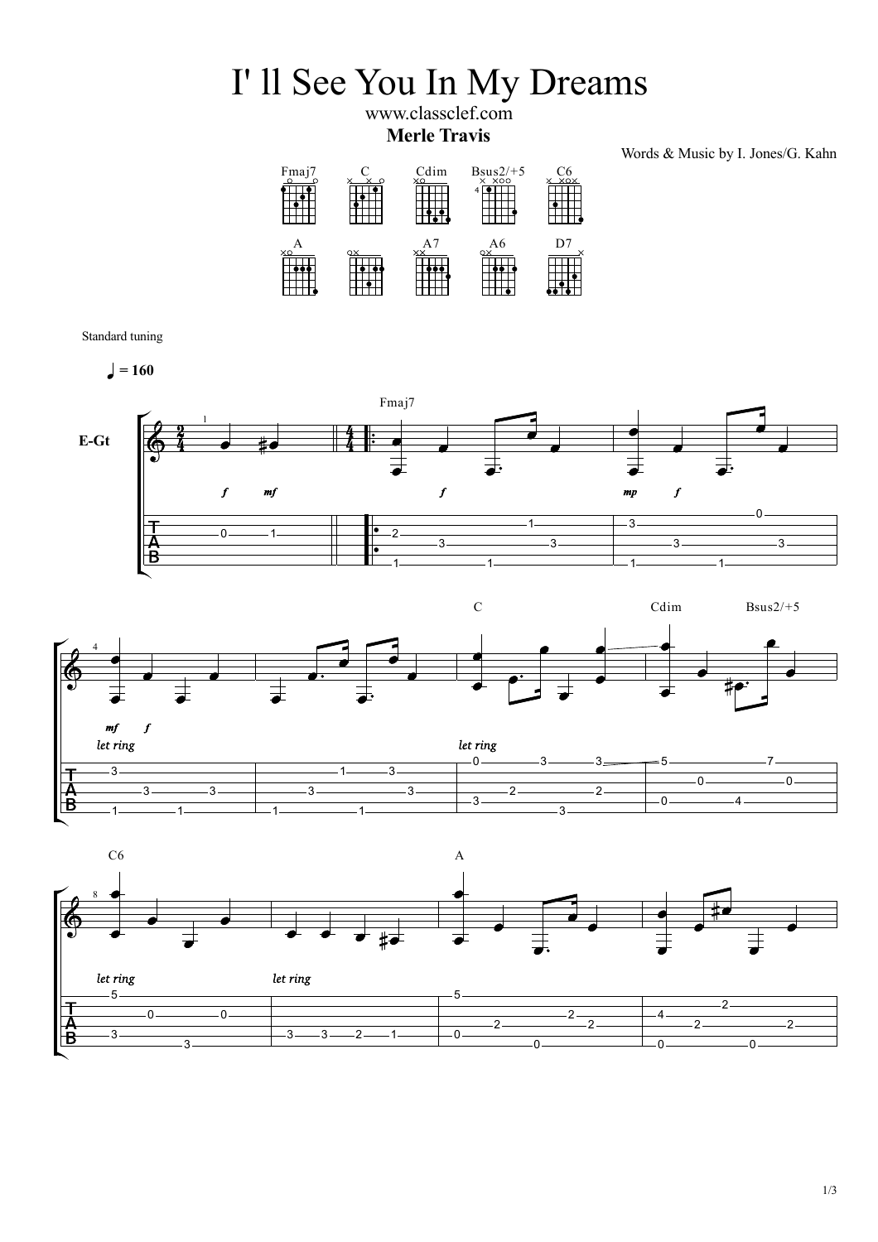## I' ll See You In My Dreams

www.classclef.com **Merle Travis**

Words & Music by I. Jones/G. Kahn



Standard tuning

 $= 160$ 







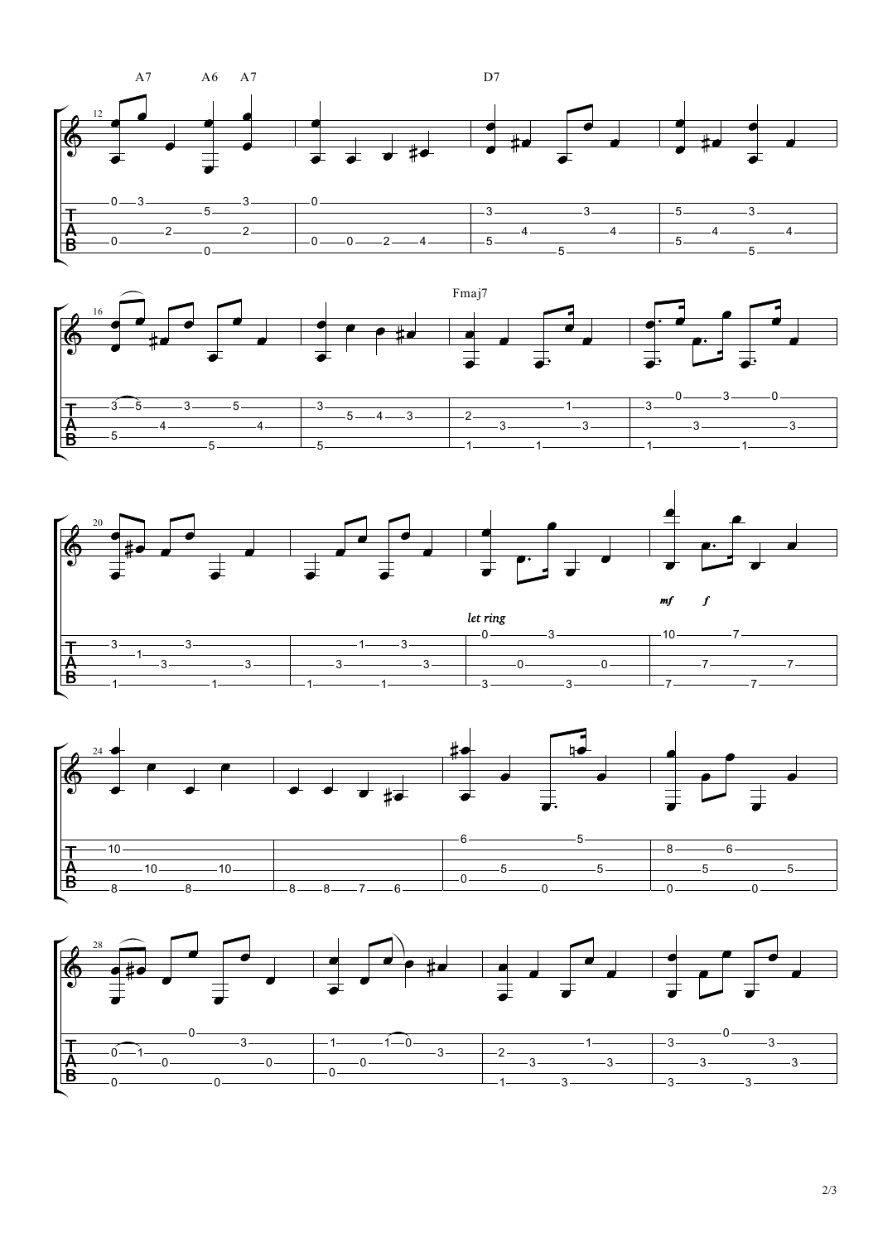









2/3